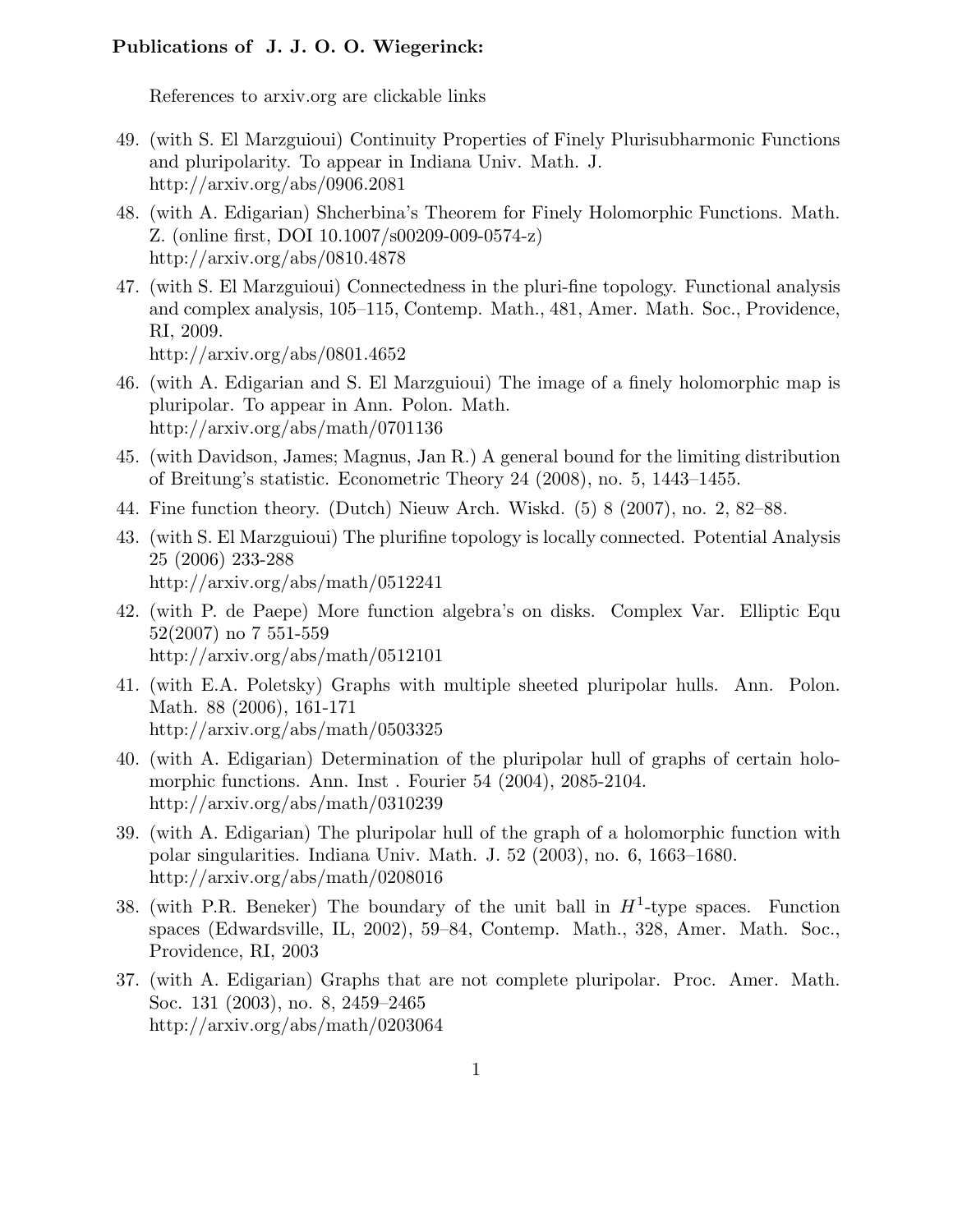## Publications of J. J. O. O. Wiegerinck:

References to arxiv.org are clickable links

- 49. (with S. El Marzguioui) Continuity Properties of Finely Plurisubharmonic Functions and pluripolarity. To appear in Indiana Univ. Math. J. http://arxiv.org/abs/0906.2081
- 48. (with A. Edigarian) Shcherbina's Theorem for Finely Holomorphic Functions. Math. Z. (online first, DOI 10.1007/s00209-009-0574-z) http://arxiv.org/abs/0810.4878
- 47. (with S. El Marzguioui) Connectedness in the pluri-fine topology. Functional analysis and complex analysis, 105–115, Contemp. Math., 481, Amer. Math. Soc., Providence, RI, 2009.

http://arxiv.org/abs/0801.4652

- 46. (with A. Edigarian and S. El Marzguioui) The image of a finely holomorphic map is pluripolar. To appear in Ann. Polon. Math. http://arxiv.org/abs/math/0701136
- 45. (with Davidson, James; Magnus, Jan R.) A general bound for the limiting distribution of Breitung's statistic. Econometric Theory 24 (2008), no. 5, 1443–1455.
- 44. Fine function theory. (Dutch) Nieuw Arch. Wiskd. (5) 8 (2007), no. 2, 82–88.
- 43. (with S. El Marzguioui) The plurifine topology is locally connected. Potential Analysis 25 (2006) 233-288 http://arxiv.org/abs/math/0512241
- 42. (with P. de Paepe) More function algebra's on disks. Complex Var. Elliptic Equ 52(2007) no 7 551-559 http://arxiv.org/abs/math/0512101
- 41. (with E.A. Poletsky) Graphs with multiple sheeted pluripolar hulls. Ann. Polon. Math. 88 (2006), 161-171 http://arxiv.org/abs/math/0503325
- 40. (with A. Edigarian) Determination of the pluripolar hull of graphs of certain holomorphic functions. Ann. Inst . Fourier 54 (2004), 2085-2104. http://arxiv.org/abs/math/0310239
- 39. (with A. Edigarian) The pluripolar hull of the graph of a holomorphic function with polar singularities. Indiana Univ. Math. J. 52 (2003), no. 6, 1663–1680. http://arxiv.org/abs/math/0208016
- 38. (with P.R. Beneker) The boundary of the unit ball in  $H^1$ -type spaces. Function spaces (Edwardsville, IL, 2002), 59–84, Contemp. Math., 328, Amer. Math. Soc., Providence, RI, 2003
- 37. (with A. Edigarian) Graphs that are not complete pluripolar. Proc. Amer. Math. Soc. 131 (2003), no. 8, 2459–2465 http://arxiv.org/abs/math/0203064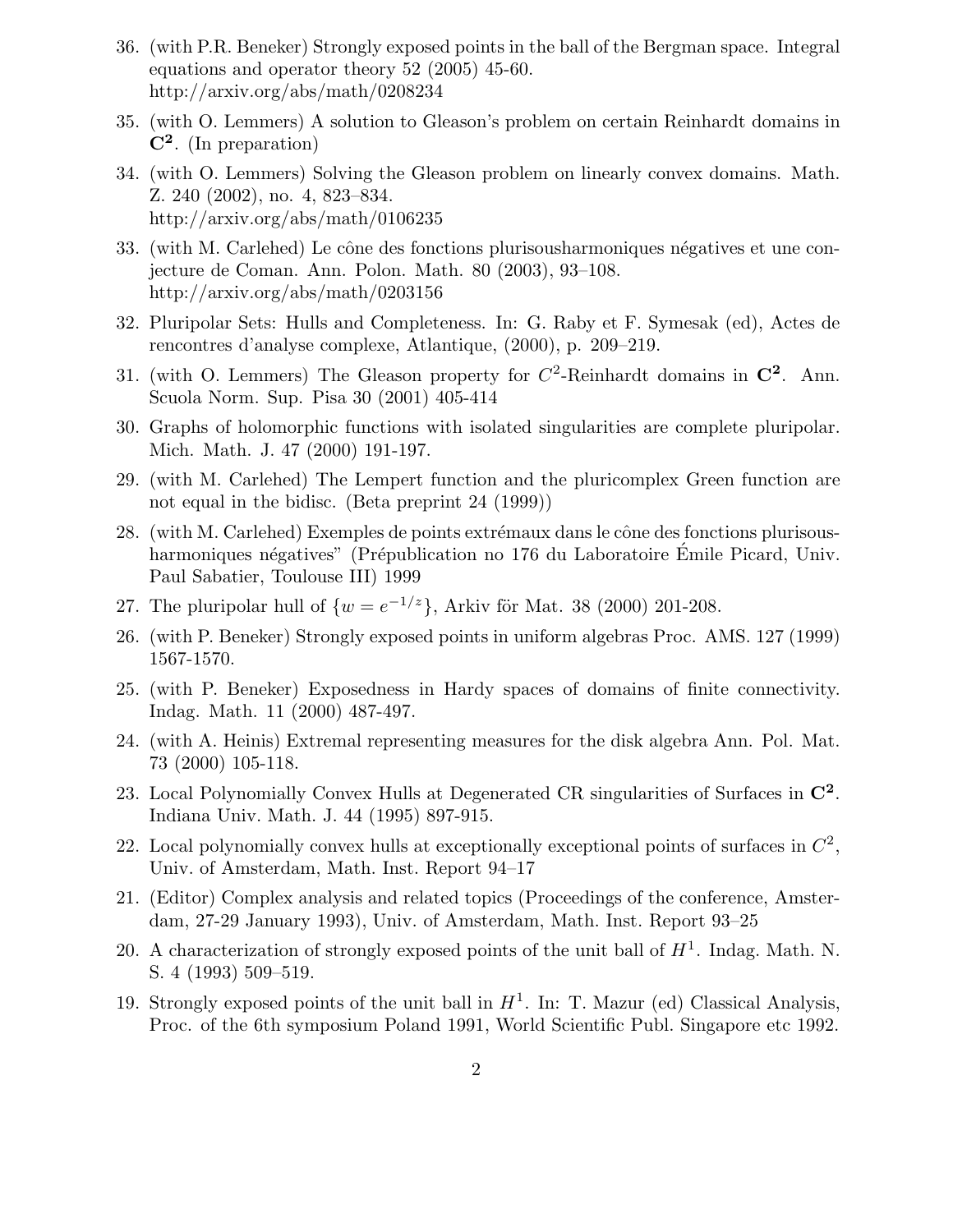- 36. (with P.R. Beneker) Strongly exposed points in the ball of the Bergman space. Integral equations and operator theory 52 (2005) 45-60. http://arxiv.org/abs/math/0208234
- 35. (with O. Lemmers) A solution to Gleason's problem on certain Reinhardt domains in  $\mathbf{C}^2$ . (In preparation)
- 34. (with O. Lemmers) Solving the Gleason problem on linearly convex domains. Math. Z. 240 (2002), no. 4, 823–834. http://arxiv.org/abs/math/0106235
- 33. (with M. Carlehed) Le cône des fonctions plurisousharmoniques négatives et une conjecture de Coman. Ann. Polon. Math. 80 (2003), 93–108. http://arxiv.org/abs/math/0203156
- 32. Pluripolar Sets: Hulls and Completeness. In: G. Raby et F. Symesak (ed), Actes de rencontres d'analyse complexe, Atlantique, (2000), p. 209–219.
- 31. (with O. Lemmers) The Gleason property for  $C^2$ -Reinhardt domains in  $\mathbb{C}^2$ . Ann. Scuola Norm. Sup. Pisa 30 (2001) 405-414
- 30. Graphs of holomorphic functions with isolated singularities are complete pluripolar. Mich. Math. J. 47 (2000) 191-197.
- 29. (with M. Carlehed) The Lempert function and the pluricomplex Green function are not equal in the bidisc. (Beta preprint 24 (1999))
- $28.$  (with M. Carlehed) Exemples de points extrémaux dans le cône des fonctions plurisousharmoniques négatives" (Prépublication no 176 du Laboratoire Emile Picard, Univ. Paul Sabatier, Toulouse III) 1999
- 27. The pluripolar hull of  $\{w = e^{-1/z}\}\$ , Arkiv för Mat. 38 (2000) 201-208.
- 26. (with P. Beneker) Strongly exposed points in uniform algebras Proc. AMS. 127 (1999) 1567-1570.
- 25. (with P. Beneker) Exposedness in Hardy spaces of domains of finite connectivity. Indag. Math. 11 (2000) 487-497.
- 24. (with A. Heinis) Extremal representing measures for the disk algebra Ann. Pol. Mat. 73 (2000) 105-118.
- 23. Local Polynomially Convex Hulls at Degenerated CR singularities of Surfaces in  $\mathbb{C}^2$ . Indiana Univ. Math. J. 44 (1995) 897-915.
- 22. Local polynomially convex hulls at exceptionally exceptional points of surfaces in  $\mathbb{C}^2$ , Univ. of Amsterdam, Math. Inst. Report 94–17
- 21. (Editor) Complex analysis and related topics (Proceedings of the conference, Amsterdam, 27-29 January 1993), Univ. of Amsterdam, Math. Inst. Report 93–25
- 20. A characterization of strongly exposed points of the unit ball of  $H<sup>1</sup>$ . Indag. Math. N. S. 4 (1993) 509–519.
- 19. Strongly exposed points of the unit ball in  $H^1$ . In: T. Mazur (ed) Classical Analysis, Proc. of the 6th symposium Poland 1991, World Scientific Publ. Singapore etc 1992.